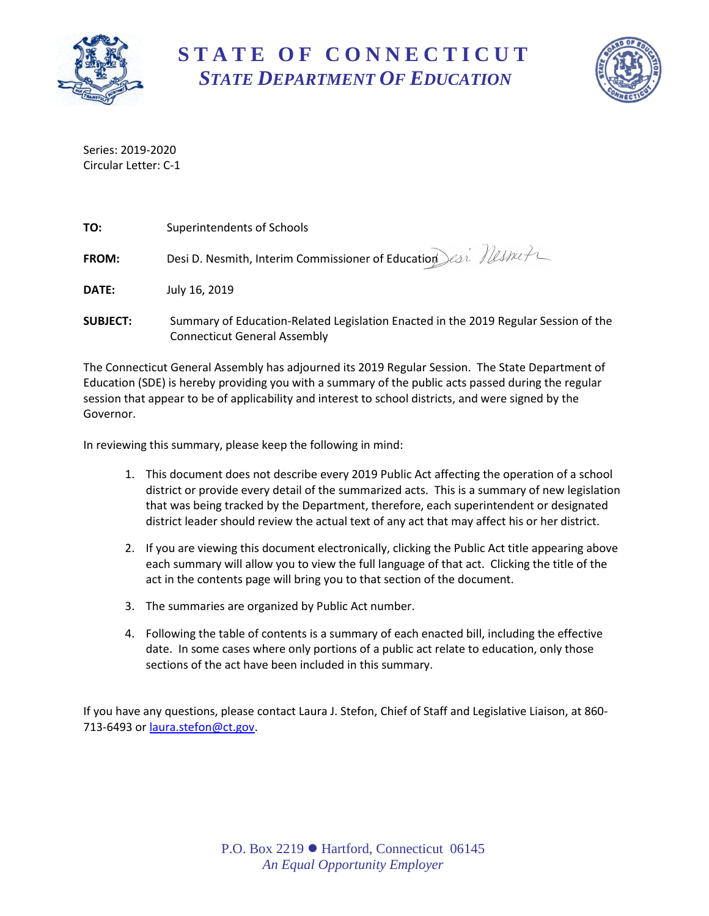

**S T A T E O F C O N N E C T I C U T** *STATE DEPARTMENT OF EDUCATION*



Series: 2019-2020 Circular Letter: C-1

| TO:             | Superintendents of Schools                                                                                                 |
|-----------------|----------------------------------------------------------------------------------------------------------------------------|
| FROM:           | Desi D. Nesmith, Interim Commissioner of Education esi Mestreta                                                            |
| DATE:           | July 16, 2019                                                                                                              |
| <b>SUBJECT:</b> | Summary of Education-Related Legislation Enacted in the 2019 Regular Session of the<br><b>Connecticut General Assembly</b> |

The Connecticut General Assembly has adjourned its 2019 Regular Session. The State Department of Education (SDE) is hereby providing you with a summary of the public acts passed during the regular session that appear to be of applicability and interest to school districts, and were signed by the Governor.

In reviewing this summary, please keep the following in mind:

- 1. This document does not describe every 2019 Public Act affecting the operation of a school district or provide every detail of the summarized acts. This is a summary of new legislation that was being tracked by the Department, therefore, each superintendent or designated district leader should review the actual text of any act that may affect his or her district.
- 2. If you are viewing this document electronically, clicking the Public Act title appearing above each summary will allow you to view the full language of that act. Clicking the title of the act in the contents page will bring you to that section of the document.
- 3. The summaries are organized by Public Act number.
- 4. Following the table of contents is a summary of each enacted bill, including the effective date. In some cases where only portions of a public act relate to education, only those sections of the act have been included in this summary.

If you have any questions, please contact Laura J. Stefon, Chief of Staff and Legislative Liaison, at 860- 713-6493 or [laura.stefon@ct.gov.](mailto:laura.stefon@ct.gov)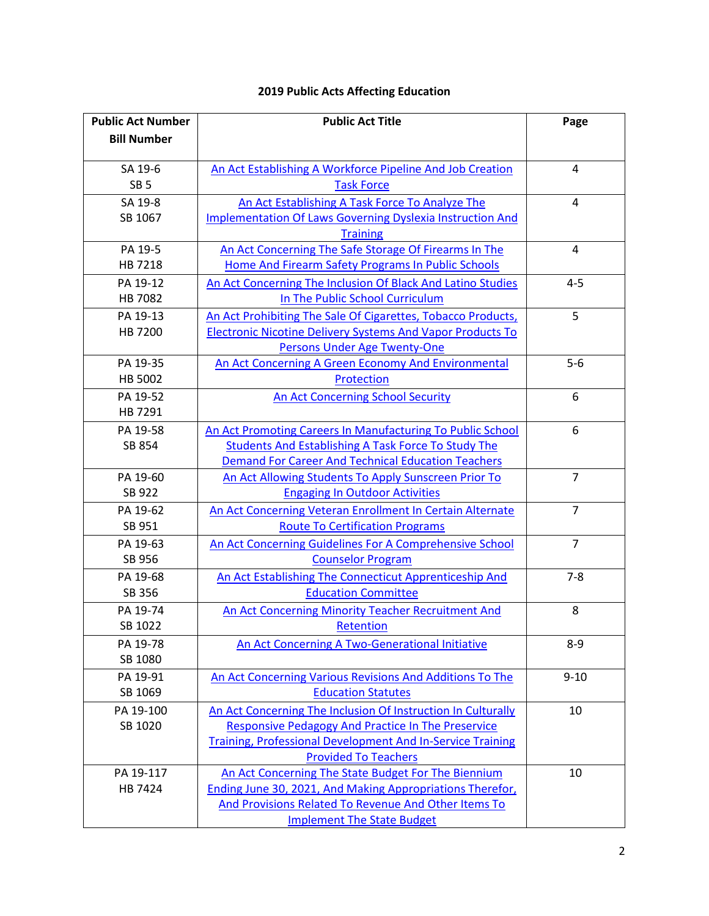| <b>Public Act Number</b> | <b>Public Act Title</b>                                           | Page           |
|--------------------------|-------------------------------------------------------------------|----------------|
| <b>Bill Number</b>       |                                                                   |                |
|                          |                                                                   |                |
| SA 19-6                  | An Act Establishing A Workforce Pipeline And Job Creation         | 4              |
| SB <sub>5</sub>          | <b>Task Force</b>                                                 |                |
| SA 19-8                  | An Act Establishing A Task Force To Analyze The                   | 4              |
| SB 1067                  | <b>Implementation Of Laws Governing Dyslexia Instruction And</b>  |                |
|                          | <b>Training</b>                                                   |                |
| PA 19-5                  | An Act Concerning The Safe Storage Of Firearms In The             | 4              |
| HB 7218                  | Home And Firearm Safety Programs In Public Schools                |                |
| PA 19-12                 | An Act Concerning The Inclusion Of Black And Latino Studies       | $4 - 5$        |
| HB 7082                  | In The Public School Curriculum                                   |                |
| PA 19-13                 | An Act Prohibiting The Sale Of Cigarettes, Tobacco Products,      | 5              |
| HB 7200                  | <b>Electronic Nicotine Delivery Systems And Vapor Products To</b> |                |
|                          | <b>Persons Under Age Twenty-One</b>                               |                |
| PA 19-35                 | An Act Concerning A Green Economy And Environmental               | $5-6$          |
| HB 5002                  | Protection                                                        |                |
| PA 19-52                 | <b>An Act Concerning School Security</b>                          | 6              |
| HB 7291                  |                                                                   |                |
| PA 19-58                 | An Act Promoting Careers In Manufacturing To Public School        | 6              |
| SB 854                   | Students And Establishing A Task Force To Study The               |                |
|                          | <b>Demand For Career And Technical Education Teachers</b>         |                |
| PA 19-60                 | An Act Allowing Students To Apply Sunscreen Prior To              | $\overline{7}$ |
| SB 922                   | <b>Engaging In Outdoor Activities</b>                             |                |
| PA 19-62                 | An Act Concerning Veteran Enrollment In Certain Alternate         | $\overline{7}$ |
| SB 951                   | <b>Route To Certification Programs</b>                            |                |
| PA 19-63                 | An Act Concerning Guidelines For A Comprehensive School           | $\overline{7}$ |
| SB 956                   | <b>Counselor Program</b>                                          |                |
| PA 19-68                 | An Act Establishing The Connecticut Apprenticeship And            | $7 - 8$        |
| SB 356                   | <b>Education Committee</b>                                        |                |
| PA 19-74                 | An Act Concerning Minority Teacher Recruitment And                | 8              |
| SB 1022                  | Retention                                                         |                |
| PA 19-78                 | <b>An Act Concerning A Two-Generational Initiative</b>            | $8 - 9$        |
| SB 1080                  |                                                                   |                |
| PA 19-91                 | An Act Concerning Various Revisions And Additions To The          | $9 - 10$       |
| SB 1069                  | <b>Education Statutes</b>                                         |                |
| PA 19-100                | An Act Concerning The Inclusion Of Instruction In Culturally      | 10             |
| SB 1020                  | <b>Responsive Pedagogy And Practice In The Preservice</b>         |                |
|                          | <b>Training, Professional Development And In-Service Training</b> |                |
|                          | <b>Provided To Teachers</b>                                       |                |
| PA 19-117                | An Act Concerning The State Budget For The Biennium               | 10             |
| HB 7424                  | Ending June 30, 2021, And Making Appropriations Therefor,         |                |
|                          | And Provisions Related To Revenue And Other Items To              |                |
|                          | <b>Implement The State Budget</b>                                 |                |

# <span id="page-1-0"></span>**2019 Public Acts Affecting Education**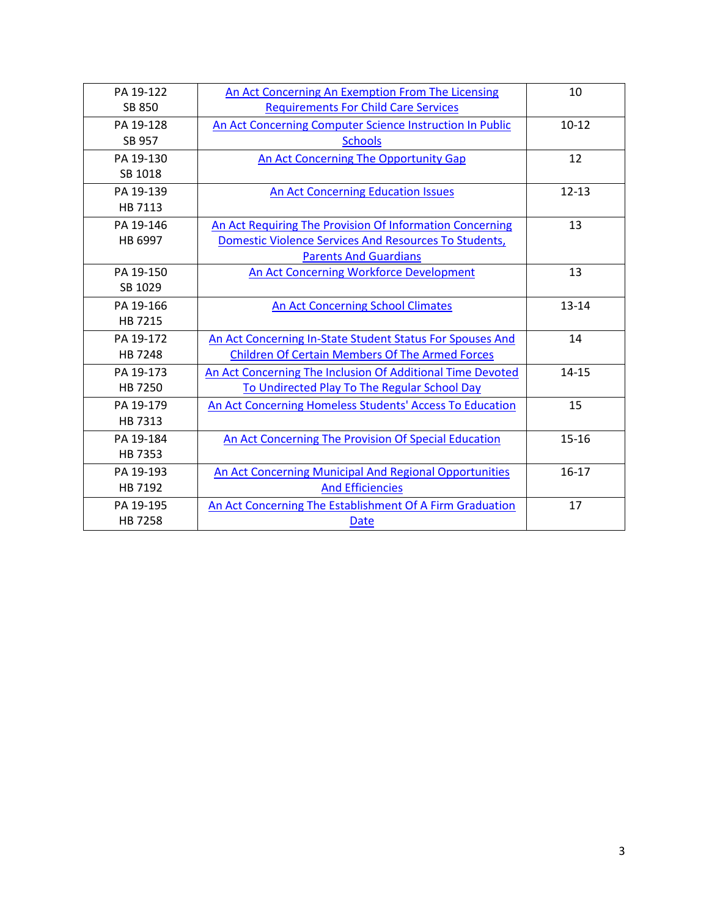| PA 19-122 | An Act Concerning An Exemption From The Licensing            | 10        |
|-----------|--------------------------------------------------------------|-----------|
| SB 850    | <b>Requirements For Child Care Services</b>                  |           |
| PA 19-128 | An Act Concerning Computer Science Instruction In Public     | $10-12$   |
| SB 957    | <b>Schools</b>                                               |           |
| PA 19-130 | An Act Concerning The Opportunity Gap                        | 12        |
| SB 1018   |                                                              |           |
| PA 19-139 | An Act Concerning Education Issues                           | $12 - 13$ |
| HB 7113   |                                                              |           |
| PA 19-146 | An Act Requiring The Provision Of Information Concerning     | 13        |
| HB 6997   | <b>Domestic Violence Services And Resources To Students,</b> |           |
|           | <b>Parents And Guardians</b>                                 |           |
| PA 19-150 | <b>An Act Concerning Workforce Development</b>               | 13        |
| SB 1029   |                                                              |           |
| PA 19-166 | An Act Concerning School Climates                            | $13 - 14$ |
| HB 7215   |                                                              |           |
| PA 19-172 | An Act Concerning In-State Student Status For Spouses And    | 14        |
| HB 7248   | <b>Children Of Certain Members Of The Armed Forces</b>       |           |
| PA 19-173 | An Act Concerning The Inclusion Of Additional Time Devoted   | $14 - 15$ |
| HB 7250   | To Undirected Play To The Regular School Day                 |           |
| PA 19-179 | An Act Concerning Homeless Students' Access To Education     | 15        |
| HB 7313   |                                                              |           |
| PA 19-184 | An Act Concerning The Provision Of Special Education         | $15 - 16$ |
| HB 7353   |                                                              |           |
| PA 19-193 | An Act Concerning Municipal And Regional Opportunities       | $16 - 17$ |
| HB 7192   | <b>And Efficiencies</b>                                      |           |
| PA 19-195 | An Act Concerning The Establishment Of A Firm Graduation     | 17        |
| HB 7258   | Date                                                         |           |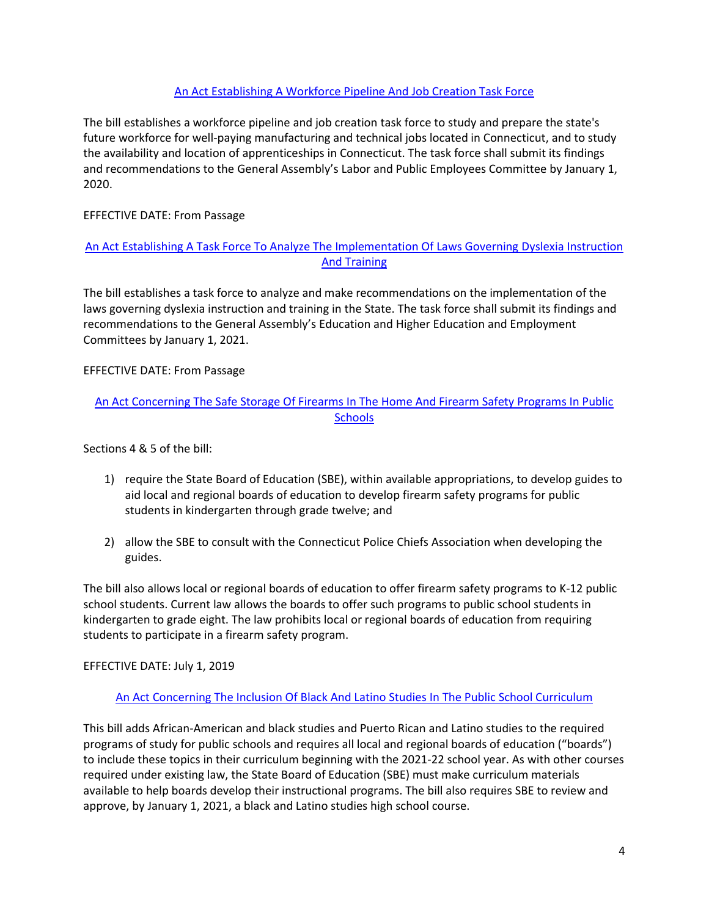### [An Act Establishing A Workforce Pipeline And Job Creation Task Force](https://www.cga.ct.gov/2019/ACT/sa/pdf/2019SA-00006-R00SB-00005-SA.pdf)

<span id="page-3-0"></span>The bill establishes a workforce pipeline and job creation task force to study and prepare the state's future workforce for well-paying manufacturing and technical jobs located in Connecticut, and to study the availability and location of apprenticeships in Connecticut. The task force shall submit its findings and recommendations to the General Assembly's Labor and Public Employees Committee by January 1, 2020.

### EFFECTIVE DATE: From Passage

# [An Act Establishing A Task Force To Analyze The Implementation Of Laws Governing](https://www.cga.ct.gov/2019/ACT/sa/pdf/2019SA-00008-R00SB-01067-SA.pdf) Dyslexia Instruction [And Training](https://www.cga.ct.gov/2019/ACT/sa/pdf/2019SA-00008-R00SB-01067-SA.pdf)

<span id="page-3-1"></span>The bill establishes a task force to analyze and make recommendations on the implementation of the laws governing dyslexia instruction and training in the State. The task force shall submit its findings and recommendations to the General Assembly's Education and Higher Education and Employment Committees by January 1, 2021.

#### EFFECTIVE DATE: From Passage

# [An Act Concerning The Safe Storage Of Firearms In The Home And Firearm Safety Programs In Public](https://www.cga.ct.gov/2019/ACT/pa/pdf/2019PA-00005-R00HB-07218-PA.pdf)  **[Schools](https://www.cga.ct.gov/2019/ACT/pa/pdf/2019PA-00005-R00HB-07218-PA.pdf)**

Sections 4 & 5 of the bill:

- 1) require the State Board of Education (SBE), within available appropriations, to develop guides to aid local and regional boards of education to develop firearm safety programs for public students in kindergarten through grade twelve; and
- 2) allow the SBE to consult with the Connecticut Police Chiefs Association when developing the guides.

The bill also allows local or regional boards of education to offer firearm safety programs to K-12 public school students. Current law allows the boards to offer such programs to public school students in kindergarten to grade eight. The law prohibits local or regional boards of education from requiring students to participate in a firearm safety program.

EFFECTIVE DATE: July 1, 2019

#### [An Act Concerning The Inclusion Of Black And Latino Studies In The Public School Curriculum](https://www.cga.ct.gov/2019/ACT/pa/pdf/2019PA-00012-R00HB-07082-PA.pdf)

<span id="page-3-2"></span>This bill adds African-American and black studies and Puerto Rican and Latino studies to the required programs of study for public schools and requires all local and regional boards of education ("boards") to include these topics in their curriculum beginning with the 2021-22 school year. As with other courses required under existing law, the State Board of Education (SBE) must make curriculum materials available to help boards develop their instructional programs. The bill also requires SBE to review and approve, by January 1, 2021, a black and Latino studies high school course.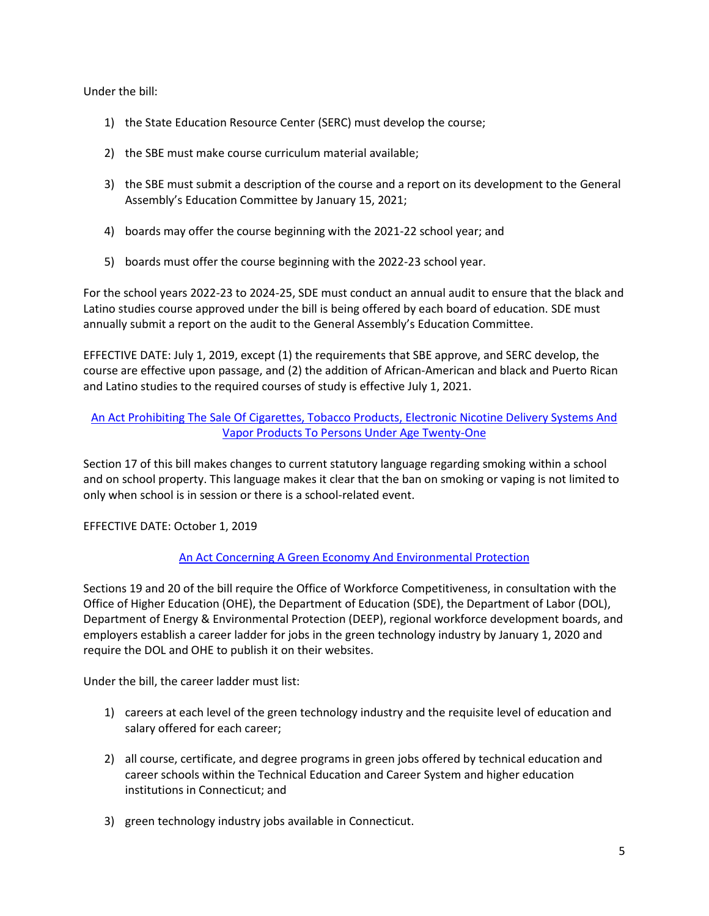Under the bill:

- 1) the State Education Resource Center (SERC) must develop the course;
- 2) the SBE must make course curriculum material available;
- 3) the SBE must submit a description of the course and a report on its development to the General Assembly's Education Committee by January 15, 2021;
- 4) boards may offer the course beginning with the 2021-22 school year; and
- 5) boards must offer the course beginning with the 2022-23 school year.

For the school years 2022-23 to 2024-25, SDE must conduct an annual audit to ensure that the black and Latino studies course approved under the bill is being offered by each board of education. SDE must annually submit a report on the audit to the General Assembly's Education Committee.

EFFECTIVE DATE: July 1, 2019, except (1) the requirements that SBE approve, and SERC develop, the course are effective upon passage, and (2) the addition of African-American and black and Puerto Rican and Latino studies to the required courses of study is effective July 1, 2021.

# [An Act Prohibiting The Sale Of Cigarettes, Tobacco Products, Electronic Nicotine Delivery Systems And](https://www.cga.ct.gov/2019/ACT/pa/pdf/2019PA-00013-R00HB-07200-PA.pdf)  [Vapor Products To Persons Under Age Twenty-One](https://www.cga.ct.gov/2019/ACT/pa/pdf/2019PA-00013-R00HB-07200-PA.pdf)

<span id="page-4-0"></span>Section 17 of this bill makes changes to current statutory language regarding smoking within a school and on school property. This language makes it clear that the ban on smoking or vaping is not limited to only when school is in session or there is a school-related event.

EFFECTIVE DATE: October 1, 2019

# [An Act Concerning A Green Economy And Environmental Protection](https://www.cga.ct.gov/2019/ACT/pa/pdf/2019PA-00035-R00HB-05002-PA.pdf)

<span id="page-4-1"></span>Sections 19 and 20 of the bill require the Office of Workforce Competitiveness, in consultation with the Office of Higher Education (OHE), the Department of Education (SDE), the Department of Labor (DOL), Department of Energy & Environmental Protection (DEEP), regional workforce development boards, and employers establish a career ladder for jobs in the green technology industry by January 1, 2020 and require the DOL and OHE to publish it on their websites.

Under the bill, the career ladder must list:

- 1) careers at each level of the green technology industry and the requisite level of education and salary offered for each career;
- 2) all course, certificate, and degree programs in green jobs offered by technical education and career schools within the Technical Education and Career System and higher education institutions in Connecticut; and
- 3) green technology industry jobs available in Connecticut.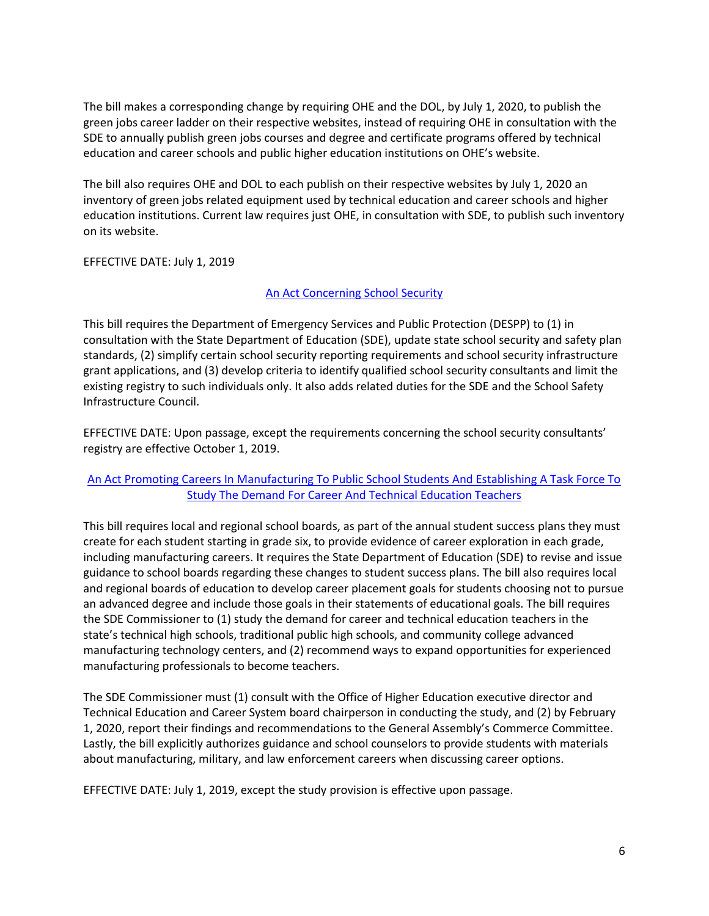The bill makes a corresponding change by requiring OHE and the DOL, by July 1, 2020, to publish the green jobs career ladder on their respective websites, instead of requiring OHE in consultation with the SDE to annually publish green jobs courses and degree and certificate programs offered by technical education and career schools and public higher education institutions on OHE's website.

The bill also requires OHE and DOL to each publish on their respective websites by July 1, 2020 an inventory of green jobs related equipment used by technical education and career schools and higher education institutions. Current law requires just OHE, in consultation with SDE, to publish such inventory on its website.

EFFECTIVE DATE: July 1, 2019

#### [An Act Concerning School Security](https://www.cga.ct.gov/2019/ACT/pa/pdf/2019PA-00052-R00HB-07291-PA.pdf)

<span id="page-5-0"></span>This bill requires the Department of Emergency Services and Public Protection (DESPP) to (1) in consultation with the State Department of Education (SDE), update state school security and safety plan standards, (2) simplify certain school security reporting requirements and school security infrastructure grant applications, and (3) develop criteria to identify qualified school security consultants and limit the existing registry to such individuals only. It also adds related duties for the SDE and the School Safety Infrastructure Council.

EFFECTIVE DATE: Upon passage, except the requirements concerning the school security consultants' registry are effective October 1, 2019.

# An Act Promoting Careers [In Manufacturing To Public School Students And Establishing A Task Force To](https://www.cga.ct.gov/2019/ACT/pa/pdf/2019PA-00058-R00SB-00854-PA.pdf)  [Study The Demand For Career And Technical Education Teachers](https://www.cga.ct.gov/2019/ACT/pa/pdf/2019PA-00058-R00SB-00854-PA.pdf)

<span id="page-5-1"></span>This bill requires local and regional school boards, as part of the annual student success plans they must create for each student starting in grade six, to provide evidence of career exploration in each grade, including manufacturing careers. It requires the State Department of Education (SDE) to revise and issue guidance to school boards regarding these changes to student success plans. The bill also requires local and regional boards of education to develop career placement goals for students choosing not to pursue an advanced degree and include those goals in their statements of educational goals. The bill requires the SDE Commissioner to (1) study the demand for career and technical education teachers in the state's technical high schools, traditional public high schools, and community college advanced manufacturing technology centers, and (2) recommend ways to expand opportunities for experienced manufacturing professionals to become teachers.

The SDE Commissioner must (1) consult with the Office of Higher Education executive director and Technical Education and Career System board chairperson in conducting the study, and (2) by February 1, 2020, report their findings and recommendations to the General Assembly's Commerce Committee. Lastly, the bill explicitly authorizes guidance and school counselors to provide students with materials about manufacturing, military, and law enforcement careers when discussing career options.

EFFECTIVE DATE: July 1, 2019, except the study provision is effective upon passage.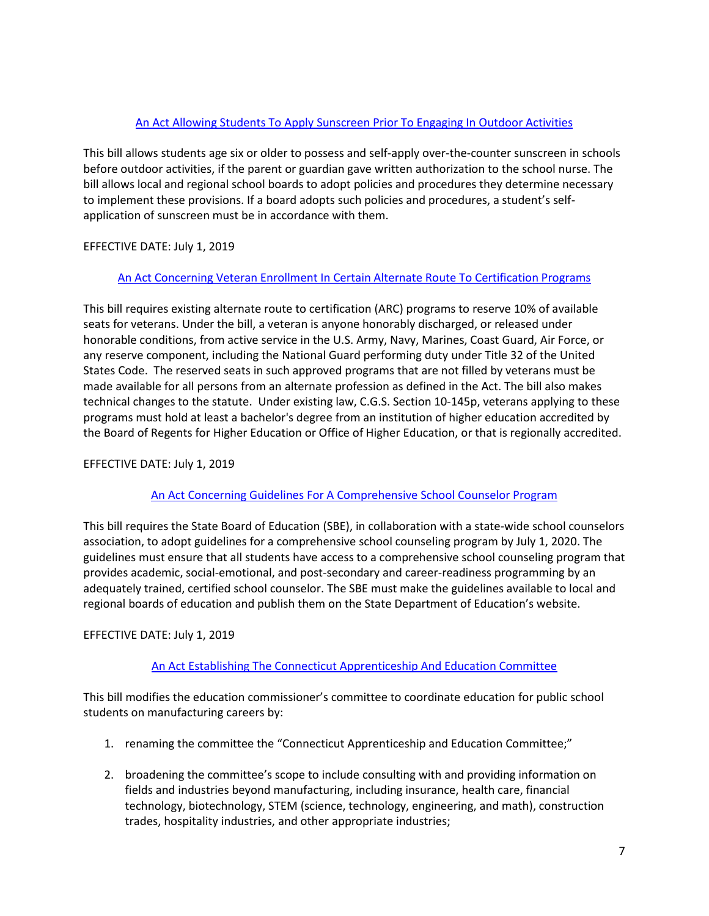# [An Act Allowing Students To Apply Sunscreen Prior To Engaging In Outdoor Activities](https://www.cga.ct.gov/2019/ACT/pa/pdf/2019PA-00060-R00SB-00922-PA.pdf)

<span id="page-6-0"></span>This bill allows students age six or older to possess and self-apply over-the-counter sunscreen in schools before outdoor activities, if the parent or guardian gave written authorization to the school nurse. The bill allows local and regional school boards to adopt policies and procedures they determine necessary to implement these provisions. If a board adopts such policies and procedures, a student's selfapplication of sunscreen must be in accordance with them.

# EFFECTIVE DATE: July 1, 2019

#### [An Act Concerning Veteran Enrollment In Certain Alternate Route To Certification Programs](https://www.cga.ct.gov/2019/ACT/pa/pdf/2019PA-00062-R00SB-00951-PA.pdf)

<span id="page-6-1"></span>This bill requires existing alternate route to certification (ARC) programs to reserve 10% of available seats for veterans. Under the bill, a veteran is anyone honorably discharged, or released under honorable conditions, from active service in the U.S. Army, Navy, Marines, Coast Guard, Air Force, or any reserve component, including the National Guard performing duty under Title 32 of the United States Code. The reserved seats in such approved programs that are not filled by veterans must be made available for all persons from an alternate profession as defined in the Act. The bill also makes technical changes to the statute. Under existing law, C.G.S. Section 10-145p, veterans applying to these programs must hold at least a bachelor's degree from an institution of higher education accredited by the Board of Regents for Higher Education or Office of Higher Education, or that is regionally accredited.

### EFFECTIVE DATE: July 1, 2019

#### [An Act Concerning Guidelines For A Comprehensive School Counselor Program](https://www.cga.ct.gov/2019/ACT/pa/pdf/2019PA-00063-R00SB-00956-PA.pdf)

<span id="page-6-2"></span>This bill requires the State Board of Education (SBE), in collaboration with a state-wide school counselors association, to adopt guidelines for a comprehensive school counseling program by July 1, 2020. The guidelines must ensure that all students have access to a comprehensive school counseling program that provides academic, social-emotional, and post-secondary and career-readiness programming by an adequately trained, certified school counselor. The SBE must make the guidelines available to local and regional boards of education and publish them on the State Department of Education's website.

#### EFFECTIVE DATE: July 1, 2019

# [An Act Establishing The Connecticut Apprenticeship And Education Committee](https://www.cga.ct.gov/2019/ACT/pa/pdf/2019PA-00068-R00SB-00356-PA.pdf)

<span id="page-6-3"></span>This bill modifies the education commissioner's committee to coordinate education for public school students on manufacturing careers by:

- 1. renaming the committee the "Connecticut Apprenticeship and Education Committee;"
- 2. broadening the committee's scope to include consulting with and providing information on fields and industries beyond manufacturing, including insurance, health care, financial technology, biotechnology, STEM (science, technology, engineering, and math), construction trades, hospitality industries, and other appropriate industries;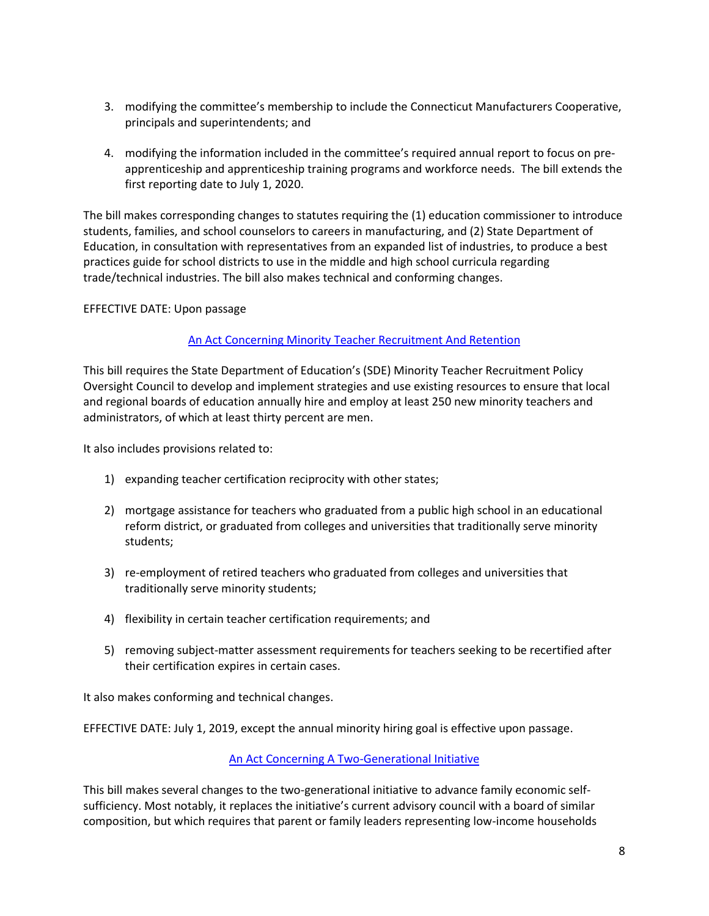- 3. modifying the committee's membership to include the Connecticut Manufacturers Cooperative, principals and superintendents; and
- 4. modifying the information included in the committee's required annual report to focus on preapprenticeship and apprenticeship training programs and workforce needs. The bill extends the first reporting date to July 1, 2020.

The bill makes corresponding changes to statutes requiring the (1) education commissioner to introduce students, families, and school counselors to careers in manufacturing, and (2) State Department of Education, in consultation with representatives from an expanded list of industries, to produce a best practices guide for school districts to use in the middle and high school curricula regarding trade/technical industries. The bill also makes technical and conforming changes.

#### EFFECTIVE DATE: Upon passage

#### [An Act Concerning Minority Teacher Recruitment And Retention](https://www.cga.ct.gov/2019/ACT/pa/pdf/2019PA-00074-R00SB-01022-PA.pdf)

<span id="page-7-0"></span>This bill requires the State Department of Education's (SDE) Minority Teacher Recruitment Policy Oversight Council to develop and implement strategies and use existing resources to ensure that local and regional boards of education annually hire and employ at least 250 new minority teachers and administrators, of which at least thirty percent are men.

It also includes provisions related to:

- 1) expanding teacher certification reciprocity with other states;
- 2) mortgage assistance for teachers who graduated from a public high school in an educational reform district, or graduated from colleges and universities that traditionally serve minority students;
- 3) re-employment of retired teachers who graduated from colleges and universities that traditionally serve minority students;
- 4) flexibility in certain teacher certification requirements; and
- 5) removing subject-matter assessment requirements for teachers seeking to be recertified after their certification expires in certain cases.

It also makes conforming and technical changes.

EFFECTIVE DATE: July 1, 2019, except the annual minority hiring goal is effective upon passage.

#### [An Act Concerning A Two-Generational Initiative](https://www.cga.ct.gov/2019/ACT/pa/pdf/2019PA-00078-R00SB-01080-PA.pdf)

<span id="page-7-1"></span>This bill makes several changes to the two-generational initiative to advance family economic selfsufficiency. Most notably, it replaces the initiative's current advisory council with a board of similar composition, but which requires that parent or family leaders representing low-income households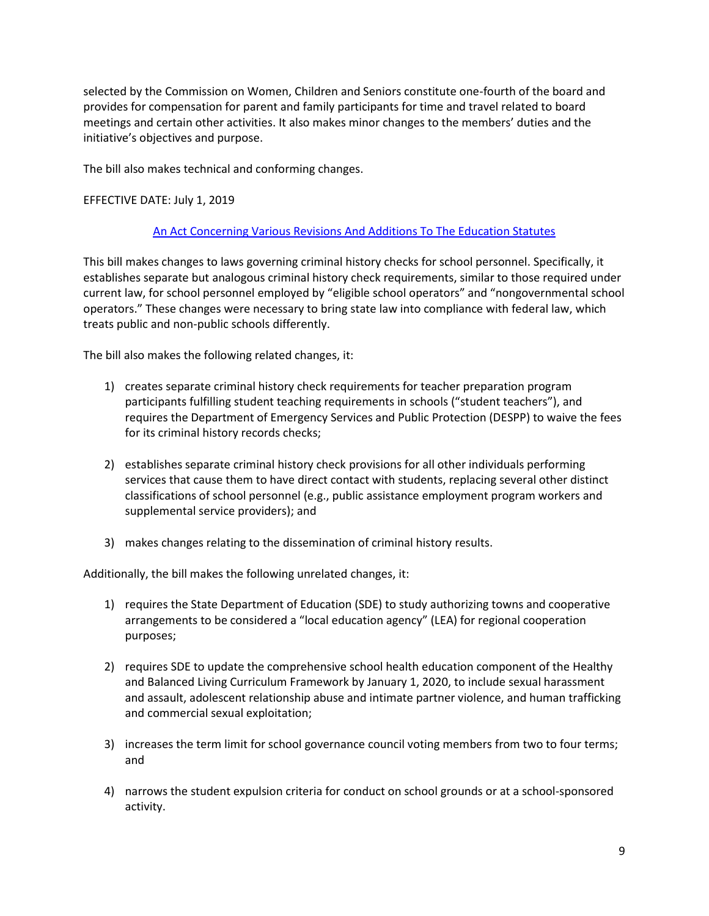selected by the Commission on Women, Children and Seniors constitute one-fourth of the board and provides for compensation for parent and family participants for time and travel related to board meetings and certain other activities. It also makes minor changes to the members' duties and the initiative's objectives and purpose.

The bill also makes technical and conforming changes.

#### EFFECTIVE DATE: July 1, 2019

#### [An Act Concerning Various Revisions And Additions To The Education Statutes](https://www.cga.ct.gov/2019/ACT/pa/pdf/2019PA-00091-R00SB-01069-PA.pdf)

<span id="page-8-0"></span>This bill makes changes to laws governing criminal history checks for school personnel. Specifically, it establishes separate but analogous criminal history check requirements, similar to those required under current law, for school personnel employed by "eligible school operators" and "nongovernmental school operators." These changes were necessary to bring state law into compliance with federal law, which treats public and non-public schools differently.

The bill also makes the following related changes, it:

- 1) creates separate criminal history check requirements for teacher preparation program participants fulfilling student teaching requirements in schools ("student teachers"), and requires the Department of Emergency Services and Public Protection (DESPP) to waive the fees for its criminal history records checks;
- 2) establishes separate criminal history check provisions for all other individuals performing services that cause them to have direct contact with students, replacing several other distinct classifications of school personnel (e.g., public assistance employment program workers and supplemental service providers); and
- 3) makes changes relating to the dissemination of criminal history results.

Additionally, the bill makes the following unrelated changes, it:

- 1) requires the State Department of Education (SDE) to study authorizing towns and cooperative arrangements to be considered a "local education agency" (LEA) for regional cooperation purposes;
- 2) requires SDE to update the comprehensive school health education component of the Healthy and Balanced Living Curriculum Framework by January 1, 2020, to include sexual harassment and assault, adolescent relationship abuse and intimate partner violence, and human trafficking and commercial sexual exploitation;
- 3) increases the term limit for school governance council voting members from two to four terms; and
- 4) narrows the student expulsion criteria for conduct on school grounds or at a school-sponsored activity.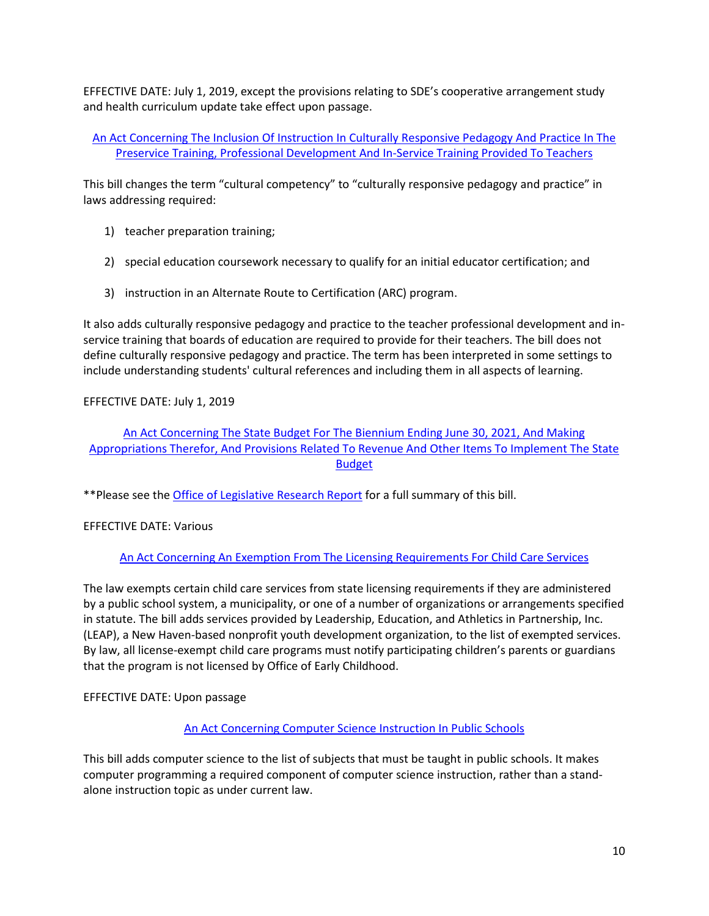EFFECTIVE DATE: July 1, 2019, except the provisions relating to SDE's cooperative arrangement study and health curriculum update take effect upon passage.

An Act Concerning The [Inclusion Of Instruction In Culturally Responsive Pedagogy And Practice In The](https://www.cga.ct.gov/2019/ACT/pa/pdf/2019PA-00100-R00SB-01020-PA.pdf)  [Preservice Training, Professional Development And In-Service Training Provided To Teachers](https://www.cga.ct.gov/2019/ACT/pa/pdf/2019PA-00100-R00SB-01020-PA.pdf)

<span id="page-9-0"></span>This bill changes the term "cultural competency" to "culturally responsive pedagogy and practice" in laws addressing required:

- 1) teacher preparation training;
- 2) special education coursework necessary to qualify for an initial educator certification; and
- 3) instruction in an Alternate Route to Certification (ARC) program.

It also adds culturally responsive pedagogy and practice to the teacher professional development and inservice training that boards of education are required to provide for their teachers. The bill does not define culturally responsive pedagogy and practice. The term has been interpreted in some settings to include understanding students' cultural references and including them in all aspects of learning.

#### EFFECTIVE DATE: July 1, 2019

[An Act Concerning The State Budget For The Biennium Ending June 30, 2021, And Making](https://www.cga.ct.gov/2019/ACT/pa/pdf/2019PA-00117-R00HB-07424-PA.pdf)  [Appropriations Therefor, And Provisions Related To Revenue And Other Items To Implement The State](https://www.cga.ct.gov/2019/ACT/pa/pdf/2019PA-00117-R00HB-07424-PA.pdf)  **[Budget](https://www.cga.ct.gov/2019/ACT/pa/pdf/2019PA-00117-R00HB-07424-PA.pdf)** 

<span id="page-9-1"></span>\*\*Please see the [Office of Legislative Research Report](https://www.cga.ct.gov/2019/BA/pdf/2019HB-07424-R01-BA.pdf) for a full summary of this bill.

# EFFECTIVE DATE: Various

# An Act Concerning An [Exemption From The Licensing Requirements For Child Care Services](https://www.cga.ct.gov/2019/ACT/pa/pdf/2019PA-00122-R00SB-00850-PA.pdf)

<span id="page-9-2"></span>The law exempts certain child care services from state licensing requirements if they are administered by a public school system, a municipality, or one of a number of organizations or arrangements specified in statute. The bill adds services provided by Leadership, Education, and Athletics in Partnership, Inc. (LEAP), a New Haven-based nonprofit youth development organization, to the list of exempted services. By law, all license-exempt child care programs must notify participating children's parents or guardians that the program is not licensed by Office of Early Childhood.

#### EFFECTIVE DATE: Upon passage

#### [An Act Concerning Computer Science Instruction In Public Schools](https://www.cga.ct.gov/2019/ACT/pa/pdf/2019PA-00128-R00SB-00957-PA.pdf)

<span id="page-9-3"></span>This bill adds computer science to the list of subjects that must be taught in public schools. It makes computer programming a required component of computer science instruction, rather than a standalone instruction topic as under current law.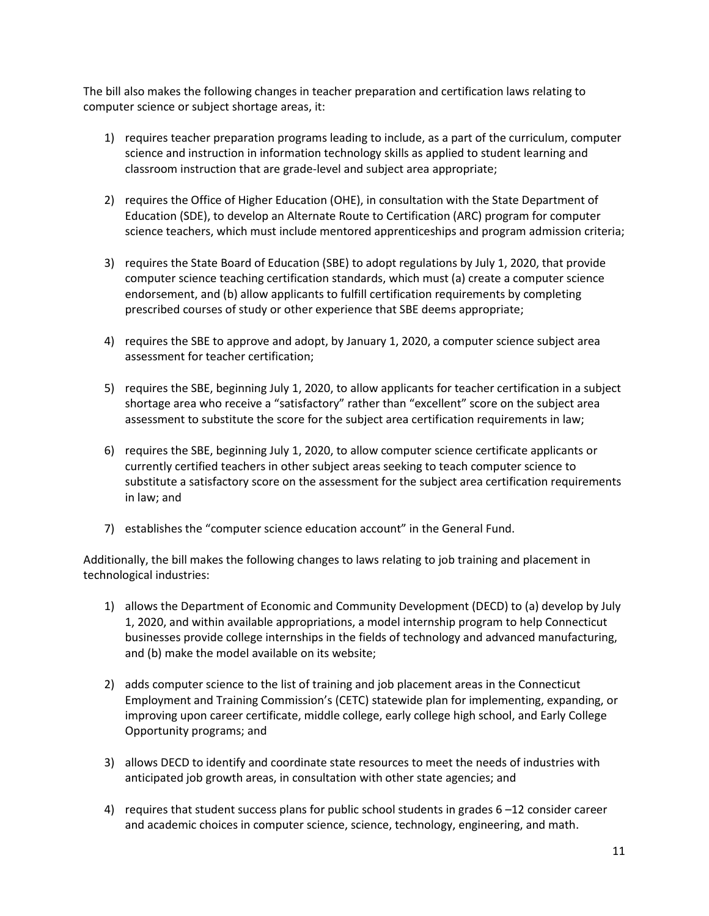The bill also makes the following changes in teacher preparation and certification laws relating to computer science or subject shortage areas, it:

- 1) requires teacher preparation programs leading to include, as a part of the curriculum, computer science and instruction in information technology skills as applied to student learning and classroom instruction that are grade-level and subject area appropriate;
- 2) requires the Office of Higher Education (OHE), in consultation with the State Department of Education (SDE), to develop an Alternate Route to Certification (ARC) program for computer science teachers, which must include mentored apprenticeships and program admission criteria;
- 3) requires the State Board of Education (SBE) to adopt regulations by July 1, 2020, that provide computer science teaching certification standards, which must (a) create a computer science endorsement, and (b) allow applicants to fulfill certification requirements by completing prescribed courses of study or other experience that SBE deems appropriate;
- 4) requires the SBE to approve and adopt, by January 1, 2020, a computer science subject area assessment for teacher certification;
- 5) requires the SBE, beginning July 1, 2020, to allow applicants for teacher certification in a subject shortage area who receive a "satisfactory" rather than "excellent" score on the subject area assessment to substitute the score for the subject area certification requirements in law;
- 6) requires the SBE, beginning July 1, 2020, to allow computer science certificate applicants or currently certified teachers in other subject areas seeking to teach computer science to substitute a satisfactory score on the assessment for the subject area certification requirements in law; and
- 7) establishes the "computer science education account" in the General Fund.

Additionally, the bill makes the following changes to laws relating to job training and placement in technological industries:

- 1) allows the Department of Economic and Community Development (DECD) to (a) develop by July 1, 2020, and within available appropriations, a model internship program to help Connecticut businesses provide college internships in the fields of technology and advanced manufacturing, and (b) make the model available on its website;
- 2) adds computer science to the list of training and job placement areas in the Connecticut Employment and Training Commission's (CETC) statewide plan for implementing, expanding, or improving upon career certificate, middle college, early college high school, and Early College Opportunity programs; and
- 3) allows DECD to identify and coordinate state resources to meet the needs of industries with anticipated job growth areas, in consultation with other state agencies; and
- 4) requires that student success plans for public school students in grades 6 –12 consider career and academic choices in computer science, science, technology, engineering, and math.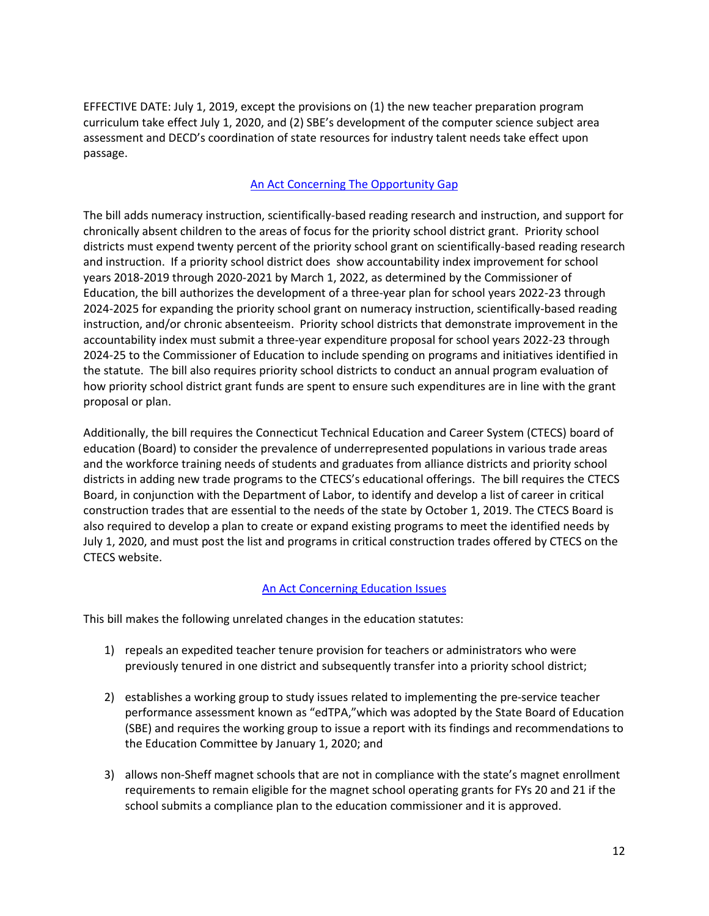EFFECTIVE DATE: July 1, 2019, except the provisions on (1) the new teacher preparation program curriculum take effect July 1, 2020, and (2) SBE's development of the computer science subject area assessment and DECD's coordination of state resources for industry talent needs take effect upon passage.

# [An Act Concerning The Opportunity Gap](https://www.cga.ct.gov/2019/ACT/pa/pdf/2019PA-00130-R00SB-01018-PA.pdf)

<span id="page-11-0"></span>The bill adds numeracy instruction, scientifically-based reading research and instruction, and support for chronically absent children to the areas of focus for the priority school district grant. Priority school districts must expend twenty percent of the priority school grant on scientifically-based reading research and instruction. If a priority school district does show accountability index improvement for school years 2018-2019 through 2020-2021 by March 1, 2022, as determined by the Commissioner of Education, the bill authorizes the development of a three-year plan for school years 2022-23 through 2024-2025 for expanding the priority school grant on numeracy instruction, scientifically-based reading instruction, and/or chronic absenteeism. Priority school districts that demonstrate improvement in the accountability index must submit a three-year expenditure proposal for school years 2022-23 through 2024-25 to the Commissioner of Education to include spending on programs and initiatives identified in the statute. The bill also requires priority school districts to conduct an annual program evaluation of how priority school district grant funds are spent to ensure such expenditures are in line with the grant proposal or plan.

Additionally, the bill requires the Connecticut Technical Education and Career System (CTECS) board of education (Board) to consider the prevalence of underrepresented populations in various trade areas and the workforce training needs of students and graduates from alliance districts and priority school districts in adding new trade programs to the CTECS's educational offerings. The bill requires the CTECS Board, in conjunction with the Department of Labor, to identify and develop a list of career in critical construction trades that are essential to the needs of the state by October 1, 2019. The CTECS Board is also required to develop a plan to create or expand existing programs to meet the identified needs by July 1, 2020, and must post the list and programs in critical construction trades offered by CTECS on the CTECS website.

# [An Act Concerning Education Issues](https://www.cga.ct.gov/2019/ACT/pa/pdf/2019PA-00139-R00HB-07113-PA.pdf)

<span id="page-11-1"></span>This bill makes the following unrelated changes in the education statutes:

- 1) repeals an expedited teacher tenure provision for teachers or administrators who were previously tenured in one district and subsequently transfer into a priority school district;
- 2) establishes a working group to study issues related to implementing the pre-service teacher performance assessment known as "edTPA,"which was adopted by the State Board of Education (SBE) and requires the working group to issue a report with its findings and recommendations to the Education Committee by January 1, 2020; and
- 3) allows non-Sheff magnet schools that are not in compliance with the state's magnet enrollment requirements to remain eligible for the magnet school operating grants for FYs 20 and 21 if the school submits a compliance plan to the education commissioner and it is approved.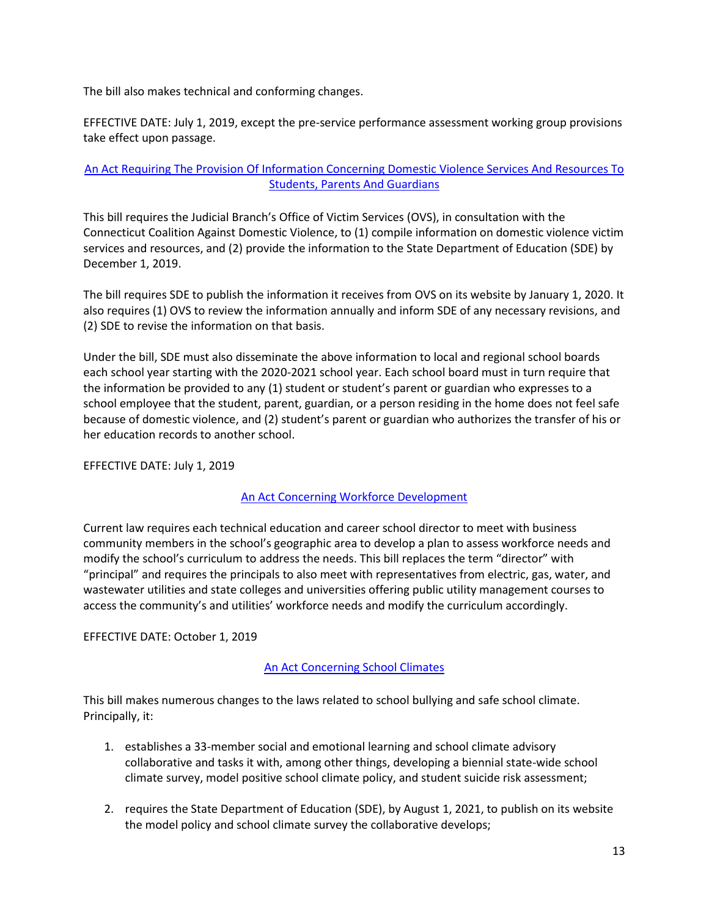The bill also makes technical and conforming changes.

EFFECTIVE DATE: July 1, 2019, except the pre-service performance assessment working group provisions take effect upon passage.

# [An Act Requiring The Provision Of Information Concerning Domestic Violence Services And Resources To](https://www.cga.ct.gov/2019/ACT/pa/pdf/2019PA-00146-R00HB-06997-PA.pdf)  [Students, Parents And Guardians](https://www.cga.ct.gov/2019/ACT/pa/pdf/2019PA-00146-R00HB-06997-PA.pdf)

<span id="page-12-0"></span>This bill requires the Judicial Branch's Office of Victim Services (OVS), in consultation with the Connecticut Coalition Against Domestic Violence, to (1) compile information on domestic violence victim services and resources, and (2) provide the information to the State Department of Education (SDE) by December 1, 2019.

The bill requires SDE to publish the information it receives from OVS on its website by January 1, 2020. It also requires (1) OVS to review the information annually and inform SDE of any necessary revisions, and (2) SDE to revise the information on that basis.

Under the bill, SDE must also disseminate the above information to local and regional school boards each school year starting with the 2020-2021 school year. Each school board must in turn require that the information be provided to any (1) student or student's parent or guardian who expresses to a school employee that the student, parent, guardian, or a person residing in the home does not feel safe because of domestic violence, and (2) student's parent or guardian who authorizes the transfer of his or her education records to another school.

# EFFECTIVE DATE: July 1, 2019

#### [An Act Concerning Workforce Development](https://www.cga.ct.gov/2019/ACT/pa/pdf/2019PA-00150-R00SB-01029-PA.pdf)

<span id="page-12-1"></span>Current law requires each technical education and career school director to meet with business community members in the school's geographic area to develop a plan to assess workforce needs and modify the school's curriculum to address the needs. This bill replaces the term "director" with "principal" and requires the principals to also meet with representatives from electric, gas, water, and wastewater utilities and state colleges and universities offering public utility management courses to access the community's and utilities' workforce needs and modify the curriculum accordingly.

EFFECTIVE DATE: October 1, 2019

# [An Act Concerning School Climates](https://www.cga.ct.gov/2019/ACT/pa/pdf/2019PA-00166-R00HB-07215-PA.pdf)

<span id="page-12-2"></span>This bill makes numerous changes to the laws related to school bullying and safe school climate. Principally, it:

- 1. establishes a 33-member social and emotional learning and school climate advisory collaborative and tasks it with, among other things, developing a biennial state-wide school climate survey, model positive school climate policy, and student suicide risk assessment;
- 2. requires the State Department of Education (SDE), by August 1, 2021, to publish on its website the model policy and school climate survey the collaborative develops;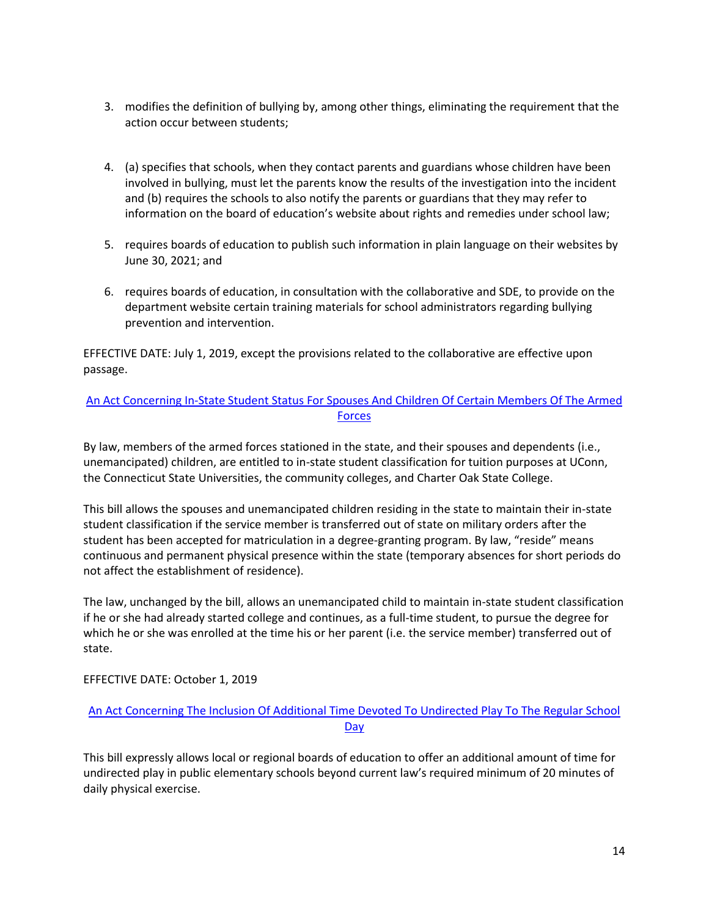- 3. modifies the definition of bullying by, among other things, eliminating the requirement that the action occur between students;
- 4. (a) specifies that schools, when they contact parents and guardians whose children have been involved in bullying, must let the parents know the results of the investigation into the incident and (b) requires the schools to also notify the parents or guardians that they may refer to information on the board of education's website about rights and remedies under school law;
- 5. requires boards of education to publish such information in plain language on their websites by June 30, 2021; and
- 6. requires boards of education, in consultation with the collaborative and SDE, to provide on the department website certain training materials for school administrators regarding bullying prevention and intervention.

EFFECTIVE DATE: July 1, 2019, except the provisions related to the collaborative are effective upon passage.

# [An Act Concerning In-State Student Status For Spouses And Children Of Certain Members Of The Armed](https://www.cga.ct.gov/2019/ACT/pa/pdf/2019PA-00172-R00HB-07248-PA.pdf)  **[Forces](https://www.cga.ct.gov/2019/ACT/pa/pdf/2019PA-00172-R00HB-07248-PA.pdf)**

<span id="page-13-0"></span>By law, members of the armed forces stationed in the state, and their spouses and dependents (i.e., unemancipated) children, are entitled to in-state student classification for tuition purposes at UConn, the Connecticut State Universities, the community colleges, and Charter Oak State College.

This bill allows the spouses and unemancipated children residing in the state to maintain their in-state student classification if the service member is transferred out of state on military orders after the student has been accepted for matriculation in a degree-granting program. By law, "reside" means continuous and permanent physical presence within the state (temporary absences for short periods do not affect the establishment of residence).

The law, unchanged by the bill, allows an unemancipated child to maintain in-state student classification if he or she had already started college and continues, as a full-time student, to pursue the degree for which he or she was enrolled at the time his or her parent (i.e. the service member) transferred out of state.

# EFFECTIVE DATE: October 1, 2019

# [An Act Concerning The Inclusion Of Additional Time Devoted To Undirected Play To The Regular School](https://www.cga.ct.gov/2019/ACT/pa/pdf/2019PA-00173-R00HB-07250-PA.pdf)  [Day](https://www.cga.ct.gov/2019/ACT/pa/pdf/2019PA-00173-R00HB-07250-PA.pdf)

<span id="page-13-1"></span>This bill expressly allows local or regional boards of education to offer an additional amount of time for undirected play in public elementary schools beyond current law's required minimum of 20 minutes of daily physical exercise.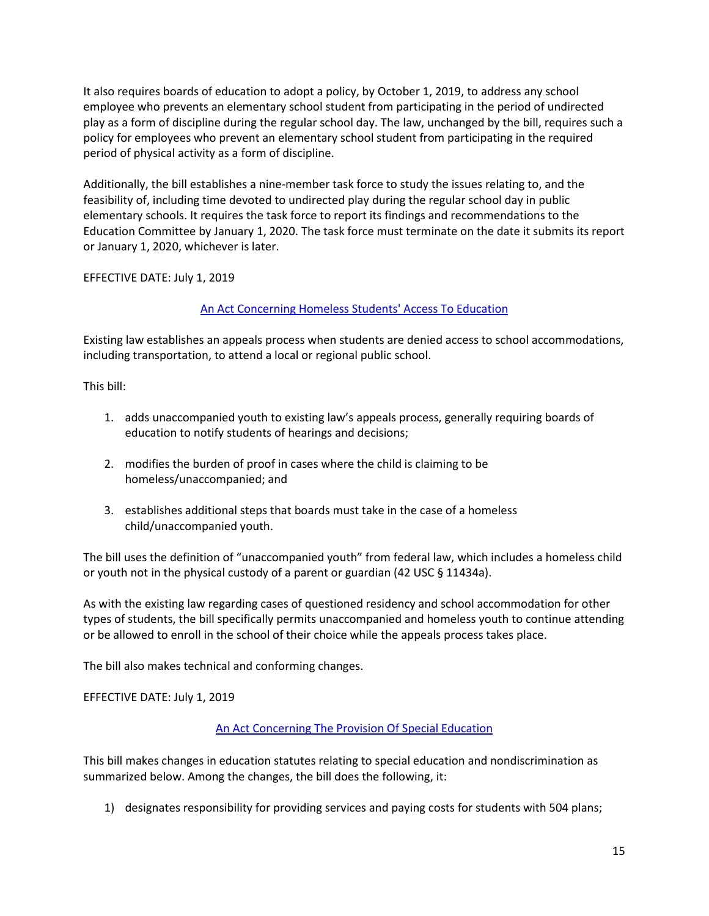It also requires boards of education to adopt a policy, by October 1, 2019, to address any school employee who prevents an elementary school student from participating in the period of undirected play as a form of discipline during the regular school day. The law, unchanged by the bill, requires such a policy for employees who prevent an elementary school student from participating in the required period of physical activity as a form of discipline.

Additionally, the bill establishes a nine-member task force to study the issues relating to, and the feasibility of, including time devoted to undirected play during the regular school day in public elementary schools. It requires the task force to report its findings and recommendations to the Education Committee by January 1, 2020. The task force must terminate on the date it submits its report or January 1, 2020, whichever is later.

EFFECTIVE DATE: July 1, 2019

# [An Act Concerning Homeless Students' Access To Education](https://www.cga.ct.gov/2019/ACT/pa/pdf/2019PA-00179-R00HB-07313-PA.pdf)

<span id="page-14-0"></span>Existing law establishes an appeals process when students are denied access to school accommodations, including transportation, to attend a local or regional public school.

This bill:

- 1. adds unaccompanied youth to existing law's appeals process, generally requiring boards of education to notify students of hearings and decisions;
- 2. modifies the burden of proof in cases where the child is claiming to be homeless/unaccompanied; and
- 3. establishes additional steps that boards must take in the case of a homeless child/unaccompanied youth.

The bill uses the definition of "unaccompanied youth" from federal law, which includes a homeless child or youth not in the physical custody of a parent or guardian (42 USC § 11434a).

As with the existing law regarding cases of questioned residency and school accommodation for other types of students, the bill specifically permits unaccompanied and homeless youth to continue attending or be allowed to enroll in the school of their choice while the appeals process takes place.

The bill also makes technical and conforming changes.

EFFECTIVE DATE: July 1, 2019

# [An Act Concerning The Provision Of Special Education](https://www.cga.ct.gov/2019/ACT/pa/pdf/2019PA-00184-R00HB-07353-PA.pdf)

<span id="page-14-1"></span>This bill makes changes in education statutes relating to special education and nondiscrimination as summarized below. Among the changes, the bill does the following, it:

1) designates responsibility for providing services and paying costs for students with 504 plans;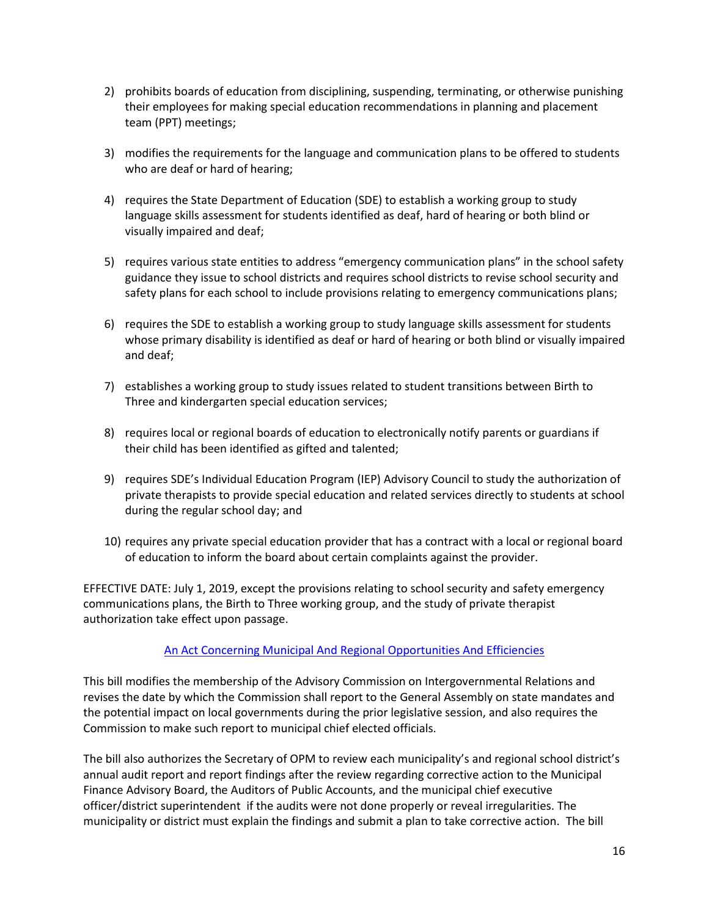- 2) prohibits boards of education from disciplining, suspending, terminating, or otherwise punishing their employees for making special education recommendations in planning and placement team (PPT) meetings;
- 3) modifies the requirements for the language and communication plans to be offered to students who are deaf or hard of hearing;
- 4) requires the State Department of Education (SDE) to establish a working group to study language skills assessment for students identified as deaf, hard of hearing or both blind or visually impaired and deaf;
- 5) requires various state entities to address "emergency communication plans" in the school safety guidance they issue to school districts and requires school districts to revise school security and safety plans for each school to include provisions relating to emergency communications plans;
- 6) requires the SDE to establish a working group to study language skills assessment for students whose primary disability is identified as deaf or hard of hearing or both blind or visually impaired and deaf;
- 7) establishes a working group to study issues related to student transitions between Birth to Three and kindergarten special education services;
- 8) requires local or regional boards of education to electronically notify parents or guardians if their child has been identified as gifted and talented;
- 9) requires SDE's Individual Education Program (IEP) Advisory Council to study the authorization of private therapists to provide special education and related services directly to students at school during the regular school day; and
- 10) requires any private special education provider that has a contract with a local or regional board of education to inform the board about certain complaints against the provider.

EFFECTIVE DATE: July 1, 2019, except the provisions relating to school security and safety emergency communications plans, the Birth to Three working group, and the study of private therapist authorization take effect upon passage.

# [An Act Concerning Municipal And Regional Opportunities And Efficiencies](https://www.cga.ct.gov/2019/ACT/pa/pdf/2019PA-00193-R00HB-07192-PA.pdf)

<span id="page-15-0"></span>This bill modifies the membership of the Advisory Commission on Intergovernmental Relations and revises the date by which the Commission shall report to the General Assembly on state mandates and the potential impact on local governments during the prior legislative session, and also requires the Commission to make such report to municipal chief elected officials.

The bill also authorizes the Secretary of OPM to review each municipality's and regional school district's annual audit report and report findings after the review regarding corrective action to the Municipal Finance Advisory Board, the Auditors of Public Accounts, and the municipal chief executive officer/district superintendent if the audits were not done properly or reveal irregularities. The municipality or district must explain the findings and submit a plan to take corrective action. The bill